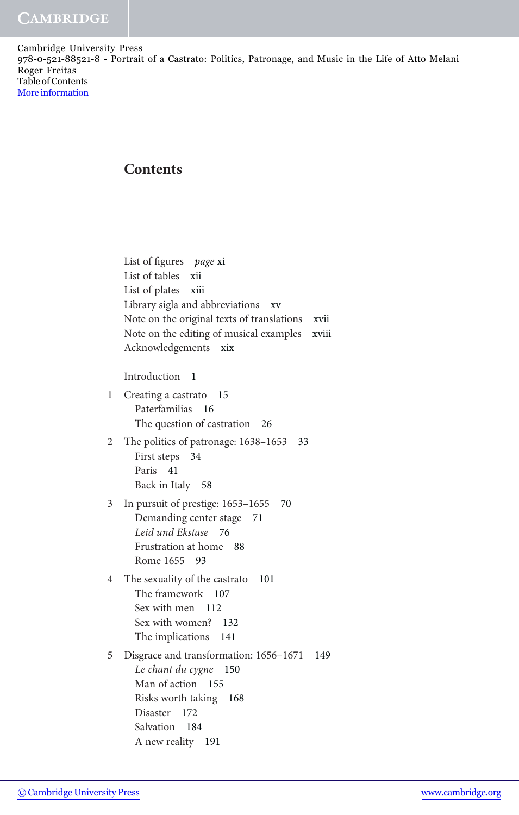Cambridge University Press 978-0-521-88521-8 - Portrait of a Castrato: Politics, Patronage, and Music in the Life of Atto Melani Roger Freitas Table of Contents [More information](http://www.cambridge.org/9780521885218)

## **Contents**

List of figures page xi List of tables xii List of plates xiii Library sigla and abbreviations xv Note on the original texts of translations xvii Note on the editing of musical examples xviii Acknowledgements xix Introduction 1 1 Creating a castrato 15 Paterfamilias 16 The question of castration 26 2 The politics of patronage: 1638–1653 33 First steps 34 Paris 41 Back in Italy 58 3 In pursuit of prestige: 1653–1655 70 Demanding center stage 71 Leid und Ekstase 76 Frustration at home 88 Rome 1655 93 4 The sexuality of the castrato 101 The framework 107 Sex with men 112 Sex with women? 132 The implications 141 5 Disgrace and transformation: 1656–1671 149 Le chant du cygne 150 Man of action 155 Risks worth taking 168 Disaster 172 Salvation 184 A new reality 191